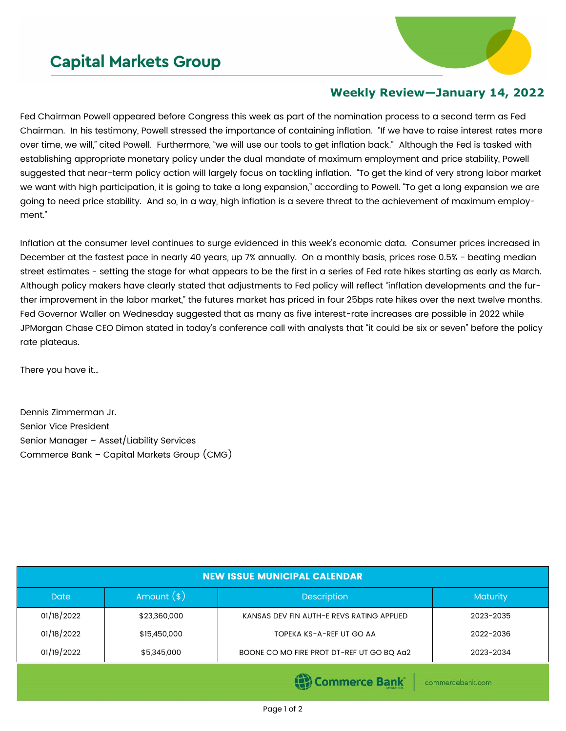## **Capital Markets Group**



## **Weekly Review—January 14, 2022**

Fed Chairman Powell appeared before Congress this week as part of the nomination process to a second term as Fed Chairman. In his testimony, Powell stressed the importance of containing inflation. "If we have to raise interest rates more over time, we will," cited Powell. Furthermore, "we will use our tools to get inflation back." Although the Fed is tasked with establishing appropriate monetary policy under the dual mandate of maximum employment and price stability, Powell suggested that near-term policy action will largely focus on tackling inflation. "To get the kind of very strong labor market we want with high participation, it is going to take a long expansion," according to Powell. "To get a long expansion we are going to need price stability. And so, in a way, high inflation is a severe threat to the achievement of maximum employment."

Inflation at the consumer level continues to surge evidenced in this week's economic data. Consumer prices increased in December at the fastest pace in nearly 40 years, up 7% annually. On a monthly basis, prices rose 0.5% - beating median street estimates - setting the stage for what appears to be the first in a series of Fed rate hikes starting as early as March. Although policy makers have clearly stated that adjustments to Fed policy will reflect "inflation developments and the further improvement in the labor market," the futures market has priced in four 25bps rate hikes over the next twelve months. Fed Governor Waller on Wednesday suggested that as many as five interest-rate increases are possible in 2022 while JPMorgan Chase CEO Dimon stated in today's conference call with analysts that "it could be six or seven" before the policy rate plateaus.

There you have it…

Dennis Zimmerman Jr. Senior Vice President Senior Manager – Asset/Liability Services Commerce Bank – Capital Markets Group (CMG)

| <b>NEW ISSUE MUNICIPAL CALENDAR</b> |              |                                           |                 |  |  |  |
|-------------------------------------|--------------|-------------------------------------------|-----------------|--|--|--|
| <b>Date</b>                         | Amount $(*)$ | <b>Description</b>                        | <b>Maturity</b> |  |  |  |
| 01/18/2022                          | \$23,360,000 | KANSAS DEV FIN AUTH-E REVS RATING APPLIED | 2023-2035       |  |  |  |
| 01/18/2022                          | \$15,450,000 | TOPEKA KS-A-REF UT GO AA                  | 2022-2036       |  |  |  |
| 01/19/2022                          | \$5,345,000  | BOONE CO MO FIRE PROT DT-REF UT GO BQ Aa2 | 2023-2034       |  |  |  |
|                                     |              | <b>STATISTICS</b>                         |                 |  |  |  |

(1) Commerce Bank

commercebank.com